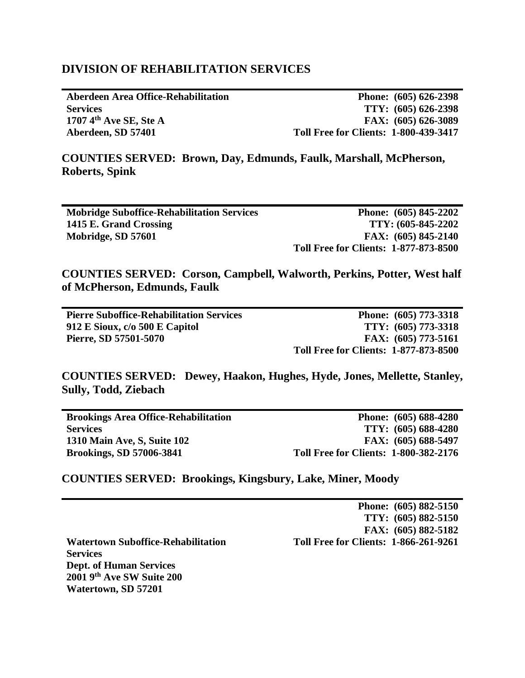## **DIVISION OF REHABILITATION SERVICES**

**Aberdeen Area Office-Rehabilitation Services 1707 4th Ave SE, Ste A Aberdeen, SD 57401**

**Phone: (605) 626-2398 TTY: (605) 626-2398 FAX: (605) 626-3089 Toll Free for Clients: 1-800-439-3417**

**COUNTIES SERVED: Brown, Day, Edmunds, Faulk, Marshall, McPherson, Roberts, Spink**

| <b>Mobridge Suboffice-Rehabilitation Services</b> | Phone: (605) 845-2202                        |
|---------------------------------------------------|----------------------------------------------|
| 1415 E. Grand Crossing                            | TTY: (605-845-2202)                          |
| Mobridge, SD 57601                                | FAX: $(605)$ 845-2140                        |
|                                                   | <b>Toll Free for Clients: 1-877-873-8500</b> |

**COUNTIES SERVED: Corson, Campbell, Walworth, Perkins, Potter, West half of McPherson, Edmunds, Faulk**

| <b>Pierre Suboffice-Rehabilitation Services</b> | Phone: (605) 773-3318                        |
|-------------------------------------------------|----------------------------------------------|
| 912 E Sioux, c/o 500 E Capitol                  | $TTY: (605) 773-3318$                        |
| Pierre, SD 57501-5070                           | FAX: $(605)$ 773-5161                        |
|                                                 | <b>Toll Free for Clients: 1-877-873-8500</b> |

**COUNTIES SERVED: Dewey, Haakon, Hughes, Hyde, Jones, Mellette, Stanley, Sully, Todd, Ziebach**

| <b>Brookings Area Office-Rehabilitation</b> | Phone: (605) 688-4280                        |
|---------------------------------------------|----------------------------------------------|
| <b>Services</b>                             | TTY: (605) 688-4280                          |
| 1310 Main Ave, S, Suite 102                 | FAX: (605) 688-5497                          |
| <b>Brookings, SD 57006-3841</b>             | <b>Toll Free for Clients: 1-800-382-2176</b> |

**COUNTIES SERVED: Brookings, Kingsbury, Lake, Miner, Moody**

|                                           | Phone: (605) 882-5150                        |
|-------------------------------------------|----------------------------------------------|
|                                           | TTY: (605) 882-5150                          |
|                                           | FAX: (605) 882-5182                          |
| <b>Watertown Suboffice-Rehabilitation</b> | <b>Toll Free for Clients: 1-866-261-9261</b> |
| <b>Services</b>                           |                                              |
| <b>Dept. of Human Services</b>            |                                              |
| 2001 9th Ave SW Suite 200                 |                                              |
| Watertown, SD 57201                       |                                              |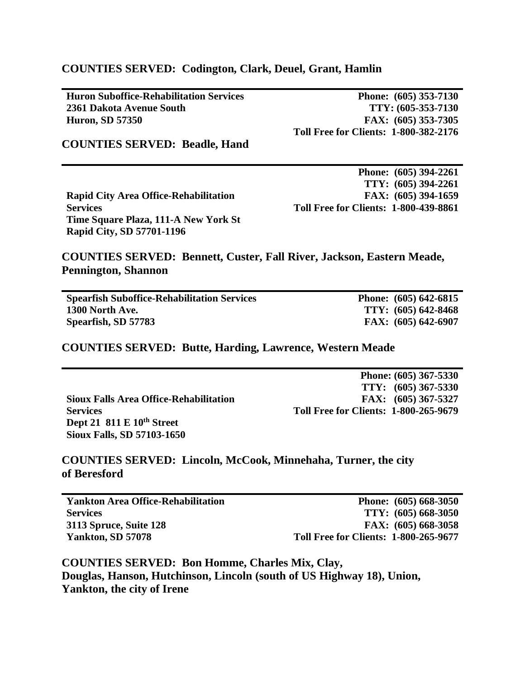## **COUNTIES SERVED: Codington, Clark, Deuel, Grant, Hamlin**

**Huron Suboffice-Rehabilitation Services 2361 Dakota Avenue South Huron, SD 57350**

**Phone: (605) 353-7130 TTY: (605-353-7130 FAX: (605) 353-7305 Toll Free for Clients: 1-800-382-2176**

**COUNTIES SERVED: Beadle, Hand**

|                                              | Phone: (605) 394-2261                        |
|----------------------------------------------|----------------------------------------------|
|                                              | TTY: (605) 394-2261                          |
| <b>Rapid City Area Office-Rehabilitation</b> | FAX: (605) 394-1659                          |
| <b>Services</b>                              | <b>Toll Free for Clients: 1-800-439-8861</b> |
| Time Square Plaza, 111-A New York St         |                                              |
| <b>Rapid City, SD 57701-1196</b>             |                                              |

**COUNTIES SERVED: Bennett, Custer, Fall River, Jackson, Eastern Meade, Pennington, Shannon**

| <b>Spearfish Suboffice-Rehabilitation Services</b> | Phone: $(605)$ 642-6815 |
|----------------------------------------------------|-------------------------|
| 1300 North Ave.                                    | $TTY: (605) 642-8468$   |
| Spearfish, SD 57783                                | FAX: $(605)$ 642-6907   |

#### **COUNTIES SERVED: Butte, Harding, Lawrence, Western Meade**

|                                               | Phone: (605) 367-5330                        |
|-----------------------------------------------|----------------------------------------------|
|                                               | $TTY: (605) 367-5330$                        |
| <b>Sioux Falls Area Office-Rehabilitation</b> | FAX: $(605)$ 367-5327                        |
| <b>Services</b>                               | <b>Toll Free for Clients: 1-800-265-9679</b> |
| Dept 21 $811 E 10th$ Street                   |                                              |
| <b>Sioux Falls, SD 57103-1650</b>             |                                              |

## **COUNTIES SERVED: Lincoln, McCook, Minnehaha, Turner, the city of Beresford**

| <b>Yankton Area Office-Rehabilitation</b> | Phone: (605) 668-3050                        |
|-------------------------------------------|----------------------------------------------|
| <b>Services</b>                           | $TTY: (605) 668-3050$                        |
| 3113 Spruce, Suite 128                    | FAX: $(605)$ 668-3058                        |
| Yankton, SD 57078                         | <b>Toll Free for Clients: 1-800-265-9677</b> |

**COUNTIES SERVED: Bon Homme, Charles Mix, Clay, Douglas, Hanson, Hutchinson, Lincoln (south of US Highway 18), Union, Yankton, the city of Irene**